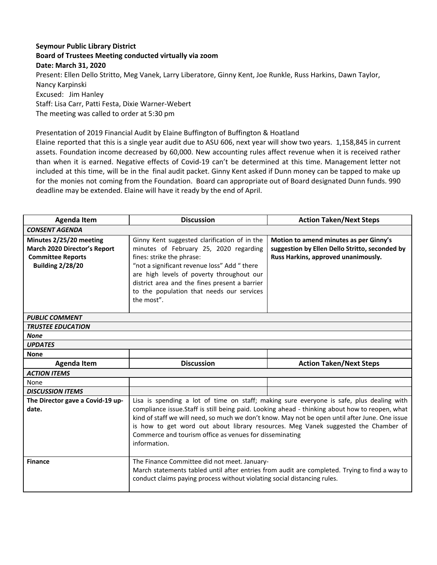## **Seymour Public Library District Board of Trustees Meeting conducted virtually via zoom Date: March 31, 2020** Present: Ellen Dello Stritto, Meg Vanek, Larry Liberatore, Ginny Kent, Joe Runkle, Russ Harkins, Dawn Taylor, Nancy Karpinski Excused: Jim Hanley Staff: Lisa Carr, Patti Festa, Dixie Warner-Webert The meeting was called to order at 5:30 pm

## Presentation of 2019 Financial Audit by Elaine Buffington of Buffington & Hoatland

Elaine reported that this is a single year audit due to ASU 606, next year will show two years. 1,158,845 in current assets. Foundation income decreased by 60,000. New accounting rules affect revenue when it is received rather than when it is earned. Negative effects of Covid-19 can't be determined at this time. Management letter not included at this time, will be in the final audit packet. Ginny Kent asked if Dunn money can be tapped to make up for the monies not coming from the Foundation. Board can appropriate out of Board designated Dunn funds. 990 deadline may be extended. Elaine will have it ready by the end of April.

| <b>Agenda Item</b>                                                                                             | <b>Discussion</b>                                                                                                                                                                                                                                                                                                                                                                                                                                             | <b>Action Taken/Next Steps</b>                                                                                                  |
|----------------------------------------------------------------------------------------------------------------|---------------------------------------------------------------------------------------------------------------------------------------------------------------------------------------------------------------------------------------------------------------------------------------------------------------------------------------------------------------------------------------------------------------------------------------------------------------|---------------------------------------------------------------------------------------------------------------------------------|
| <b>CONSENT AGENDA</b>                                                                                          |                                                                                                                                                                                                                                                                                                                                                                                                                                                               |                                                                                                                                 |
| Minutes 2/25/20 meeting<br>March 2020 Director's Report<br><b>Committee Reports</b><br><b>Building 2/28/20</b> | Ginny Kent suggested clarification of in the<br>minutes of February 25, 2020 regarding<br>fines: strike the phrase:<br>"not a significant revenue loss" Add " there<br>are high levels of poverty throughout our<br>district area and the fines present a barrier<br>to the population that needs our services<br>the most".                                                                                                                                  | Motion to amend minutes as per Ginny's<br>suggestion by Ellen Dello Stritto, seconded by<br>Russ Harkins, approved unanimously. |
| <b>PUBLIC COMMENT</b>                                                                                          |                                                                                                                                                                                                                                                                                                                                                                                                                                                               |                                                                                                                                 |
| <b>TRUSTEE EDUCATION</b>                                                                                       |                                                                                                                                                                                                                                                                                                                                                                                                                                                               |                                                                                                                                 |
| <b>None</b>                                                                                                    |                                                                                                                                                                                                                                                                                                                                                                                                                                                               |                                                                                                                                 |
| <b>UPDATES</b>                                                                                                 |                                                                                                                                                                                                                                                                                                                                                                                                                                                               |                                                                                                                                 |
| <b>None</b>                                                                                                    |                                                                                                                                                                                                                                                                                                                                                                                                                                                               |                                                                                                                                 |
| <b>Agenda Item</b>                                                                                             | <b>Discussion</b>                                                                                                                                                                                                                                                                                                                                                                                                                                             | <b>Action Taken/Next Steps</b>                                                                                                  |
| <b>ACTION ITEMS</b>                                                                                            |                                                                                                                                                                                                                                                                                                                                                                                                                                                               |                                                                                                                                 |
| None                                                                                                           |                                                                                                                                                                                                                                                                                                                                                                                                                                                               |                                                                                                                                 |
| <b>DISCUSSION ITEMS</b>                                                                                        |                                                                                                                                                                                                                                                                                                                                                                                                                                                               |                                                                                                                                 |
| The Director gave a Covid-19 up-<br>date.                                                                      | Lisa is spending a lot of time on staff; making sure everyone is safe, plus dealing with<br>compliance issue.Staff is still being paid. Looking ahead - thinking about how to reopen, what<br>kind of staff we will need, so much we don't know. May not be open until after June. One issue<br>is how to get word out about library resources. Meg Vanek suggested the Chamber of<br>Commerce and tourism office as venues for disseminating<br>information. |                                                                                                                                 |
| <b>Finance</b>                                                                                                 | The Finance Committee did not meet. January-<br>March statements tabled until after entries from audit are completed. Trying to find a way to<br>conduct claims paying process without violating social distancing rules.                                                                                                                                                                                                                                     |                                                                                                                                 |